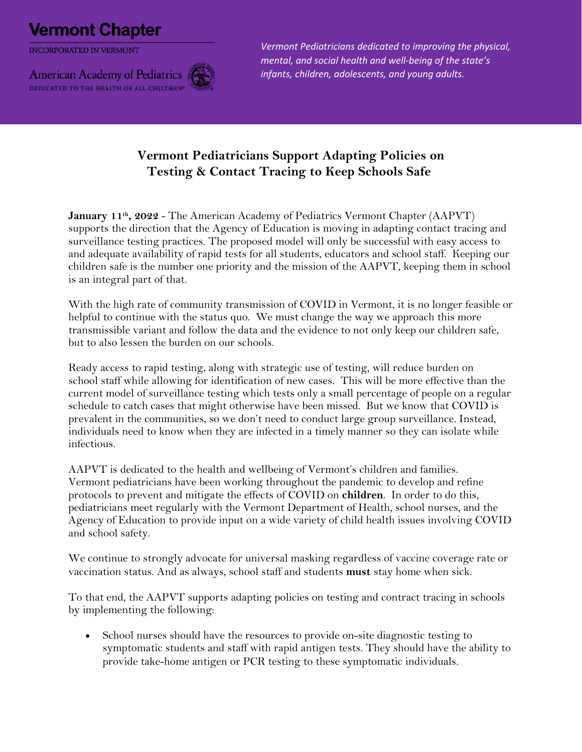## **Vermont Chapter**

**INCORPORATED IN VERMONT** 



*Vermont Pediatricians dedicated to improving the physical, mental, and social health and well-being of the state's infants, children, adolescents, and young adults.*

## **Vermont Pediatricians Support Adapting Policies on Testing & Contact Tracing to Keep Schools Safe**

January 11<sup>th</sup>, 2022 - The American Academy of Pediatrics Vermont Chapter (AAPVT) supports the direction that the Agency of Education is moving in adapting contact tracing and surveillance testing practices. The proposed model will only be successful with easy access to and adequate availability of rapid tests for all students, educators and school staff. Keeping our children safe is the number one priority and the mission of the AAPVT, keeping them in school is an integral part of that.

With the high rate of community transmission of COVID in Vermont, it is no longer feasible or helpful to continue with the status quo. We must change the way we approach this more transmissible variant and follow the data and the evidence to not only keep our children safe, but to also lessen the burden on our schools.

Ready access to rapid testing, along with strategic use of testing, will reduce burden on school staff while allowing for identification of new cases. This will be more effective than the current model of surveillance testing which tests only a small percentage of people on a regular schedule to catch cases that might otherwise have been missed. But we know that COVID is prevalent in the communities, so we don't need to conduct large group surveillance. Instead, individuals need to know when they are infected in a timely manner so they can isolate while infectious.

AAPVT is dedicated to the health and wellbeing of Vermont's children and families. Vermont pediatricians have been working throughout the pandemic to develop and refine protocols to prevent and mitigate the effects of COVID on **children**. In order to do this, pediatricians meet regularly with the Vermont Department of Health, school nurses, and the Agency of Education to provide input on a wide variety of child health issues involving COVID and school safety.

We continue to strongly advocate for universal masking regardless of vaccine coverage rate or vaccination status. And as always, school staff and students **must** stay home when sick.

To that end, the AAPVT supports adapting policies on testing and contract tracing in schools by implementing the following:

• School nurses should have the resources to provide on-site diagnostic testing to symptomatic students and staff with rapid antigen tests. They should have the ability to provide take-home antigen or PCR testing to these symptomatic individuals.